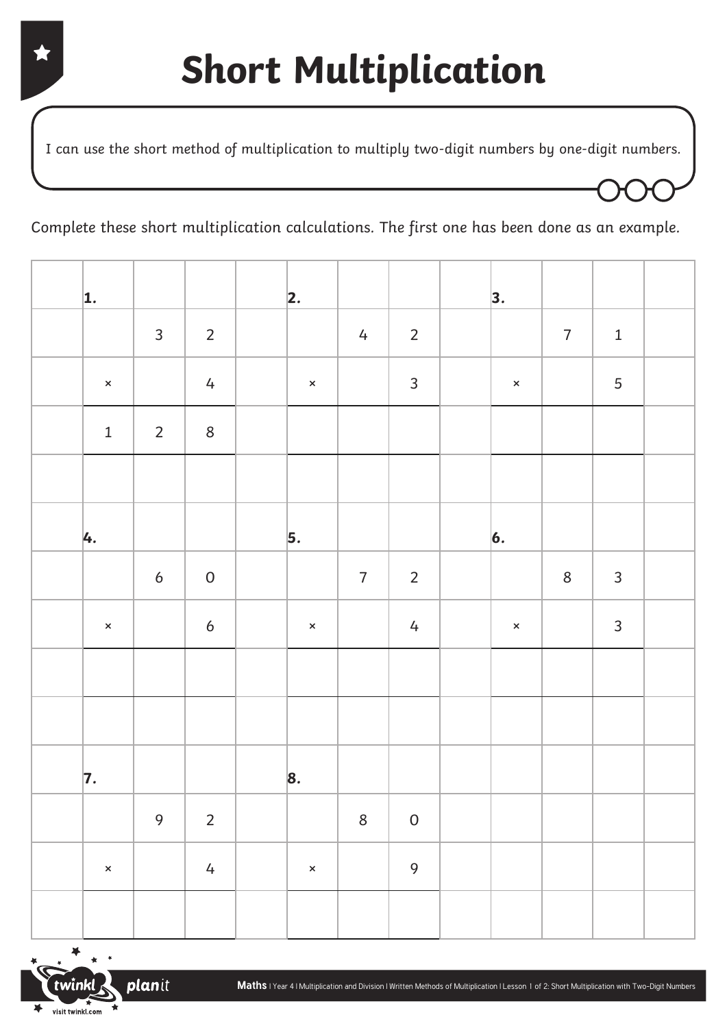I can use the short method of multiplication to multiply two-digit numbers by one-digit numbers.

Complete these short multiplication calculations. The first one has been done as an example.

| $\vert$ 1.     |                  |                  | 2.                |                |                 | 3.                 |                |                |  |
|----------------|------------------|------------------|-------------------|----------------|-----------------|--------------------|----------------|----------------|--|
|                | $\mathsf{3}$     | $\overline{2}$   |                   | $\frac{1}{4}$  | $\overline{2}$  |                    | $\overline{7}$ | $\mathbf 1$    |  |
| $\pmb{\times}$ |                  | $\overline{4}$   | $\mathbf{\times}$ |                | $\overline{3}$  | $\bar{\mathsf{x}}$ |                | 5              |  |
| $\mathbf 1$    | $\overline{2}$   | $\,8\,$          |                   |                |                 |                    |                |                |  |
|                |                  |                  |                   |                |                 |                    |                |                |  |
| 4.             |                  |                  | $\vert$ 5.        |                |                 | $\vert 6.$         |                |                |  |
|                | $\boldsymbol{6}$ | ${\mathsf 0}$    |                   | $\overline{7}$ | $\overline{2}$  |                    | $\,8\,$        | $\mathbf{3}$   |  |
| $\pmb{\times}$ |                  | $\boldsymbol{6}$ | $\pmb{\times}$    |                | $4\overline{ }$ | $\pmb{\times}$     |                | $\overline{3}$ |  |
|                |                  |                  |                   |                |                 |                    |                |                |  |
|                |                  |                  |                   |                |                 |                    |                |                |  |
| $\vert$ 7.     |                  |                  | 8.                |                |                 |                    |                |                |  |
|                | 9                | $\mathbf 2$      |                   | $\,8\,$        | ${\mathsf 0}$   |                    |                |                |  |
| $\pmb{\times}$ |                  | $\sqrt{4}$       | $\pmb{\times}$    |                | 9               |                    |                |                |  |
|                |                  |                  |                   |                |                 |                    |                |                |  |

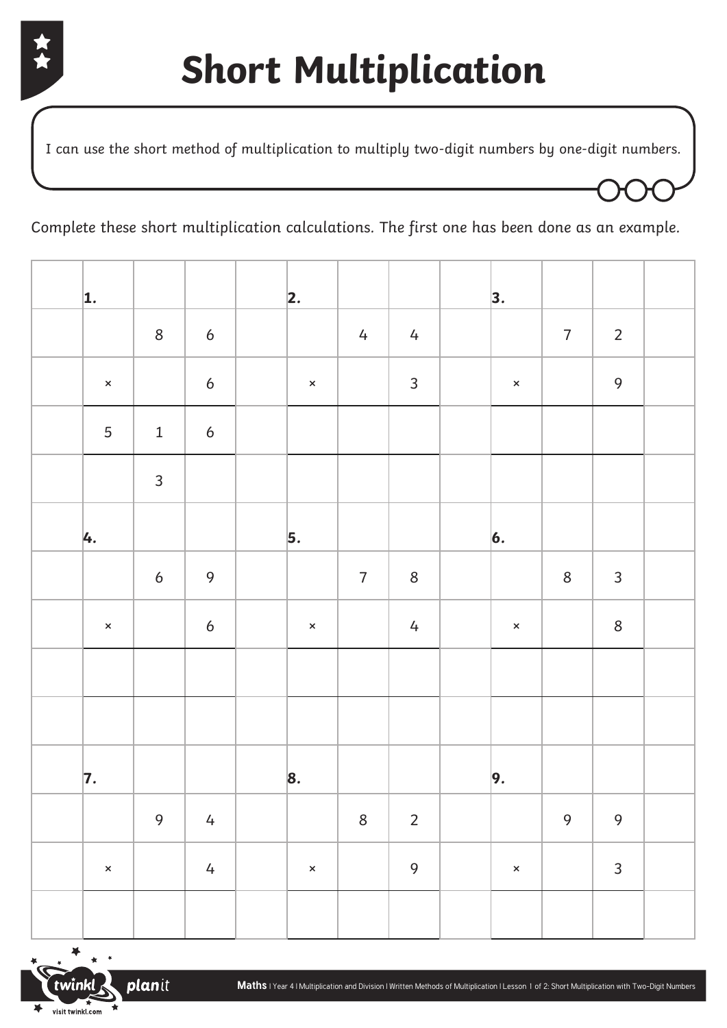

I can use the short method of multiplication to multiply two-digit numbers by one-digit numbers.

Complete these short multiplication calculations. The first one has been done as an example.

| 1.             |                  |                  | 2.             |                |                | 3.             |                  |                |  |
|----------------|------------------|------------------|----------------|----------------|----------------|----------------|------------------|----------------|--|
|                | $\,8\,$          | $\boldsymbol{6}$ |                | $\frac{1}{4}$  | $\frac{1}{4}$  |                | $\overline{7}$   | $\overline{2}$ |  |
| $\pmb{\times}$ |                  | $\boldsymbol{6}$ | $\pmb{\times}$ |                | $\overline{3}$ | $\pmb{\times}$ |                  | $\mathbf 9$    |  |
| $\overline{5}$ | $\mathbf{1}$     | $\boldsymbol{6}$ |                |                |                |                |                  |                |  |
|                | $\mathsf{3}$     |                  |                |                |                |                |                  |                |  |
| 4.             |                  |                  | $\vert$ 5.     |                |                | $\vert 6.$     |                  |                |  |
|                | $\boldsymbol{6}$ | $\mathbf 9$      |                | $\overline{7}$ | $8\,$          |                | $\,8\,$          | $\mathbf{3}$   |  |
| $\pmb{\times}$ |                  | $\boldsymbol{6}$ | $\pmb{\times}$ |                | $\overline{4}$ | $\pmb{\times}$ |                  | $\,8\,$        |  |
|                |                  |                  |                |                |                |                |                  |                |  |
|                |                  |                  |                |                |                |                |                  |                |  |
| 7.             |                  |                  | 8.             |                |                | 9.             |                  |                |  |
|                | 9                | $\overline{4}$   |                | $\,8\,$        | $\overline{2}$ |                | $\boldsymbol{9}$ | $\mathbf 9$    |  |
| $\pmb{\times}$ |                  | $\overline{4}$   | $\pmb{\times}$ |                | 9              | $\pmb{\times}$ |                  | $\mathbf{3}$   |  |
|                |                  |                  |                |                |                |                |                  |                |  |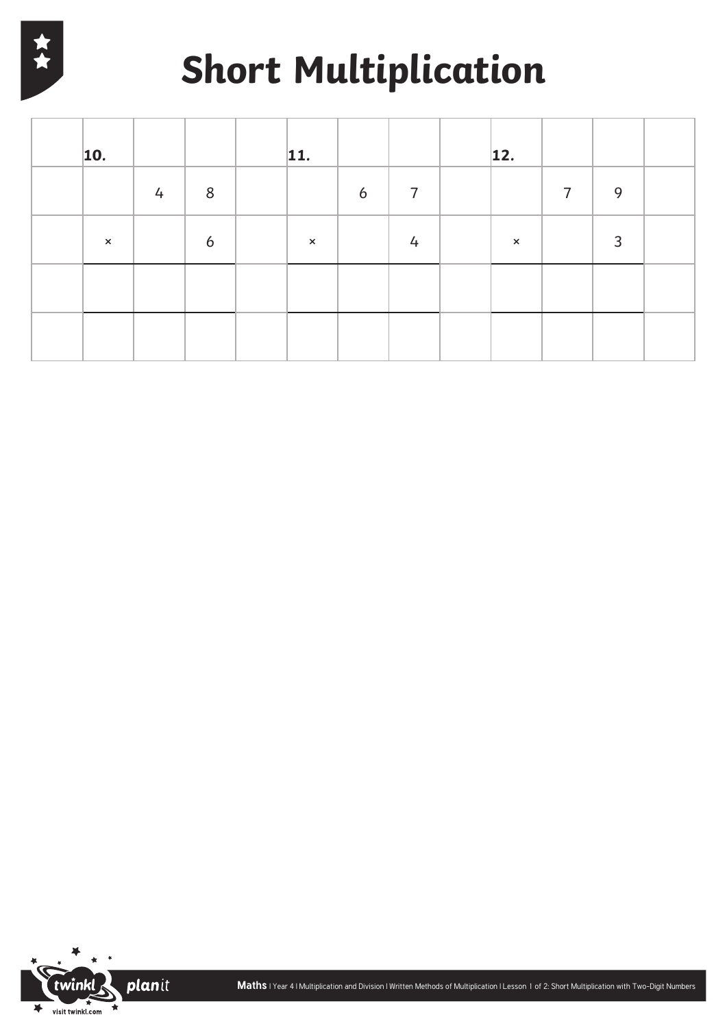

# **Short Multiplication**

| $\vert$ 10.    |   |   | 11.          |   |                | 12.            |   |   |  |
|----------------|---|---|--------------|---|----------------|----------------|---|---|--|
|                | 4 | 8 |              | 6 | $\overline{7}$ |                | 7 | 9 |  |
| $\pmb{\times}$ |   | 6 | $\mathsf{x}$ |   | 4              | $\pmb{\times}$ |   | 3 |  |
|                |   |   |              |   |                |                |   |   |  |
|                |   |   |              |   |                |                |   |   |  |

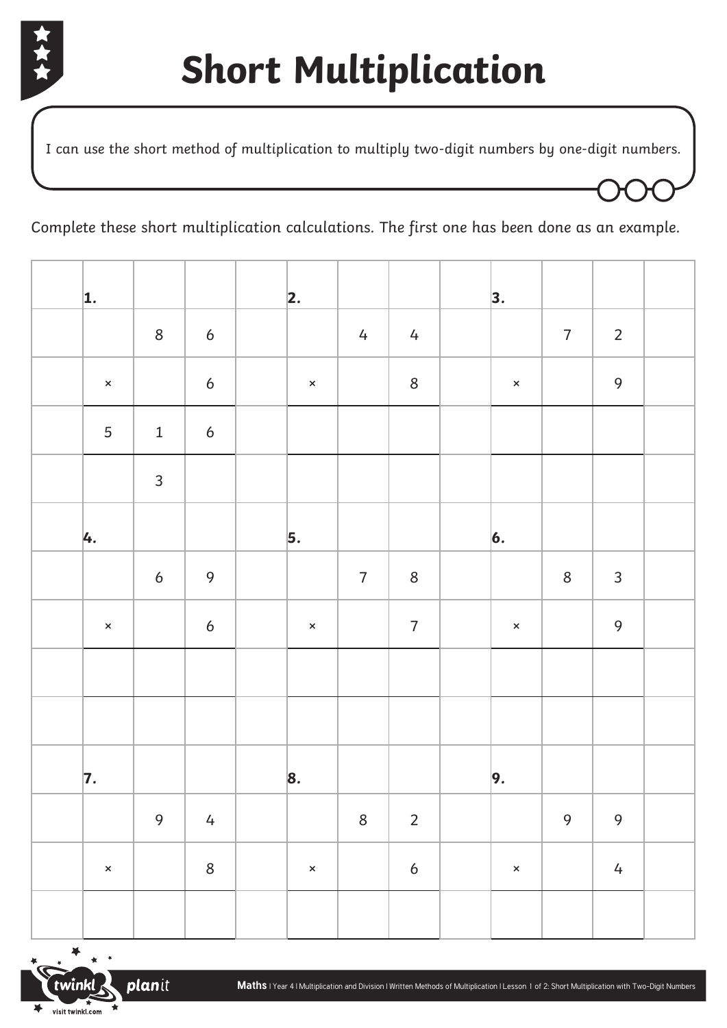

I can use the short method of multiplication to multiply two-digit numbers by one-digit numbers.

Complete these short multiplication calculations. The first one has been done as an example.

| 1.             |                  |                  | 2.             |                |                  | 3.             |                  |                |  |
|----------------|------------------|------------------|----------------|----------------|------------------|----------------|------------------|----------------|--|
|                | $\bf 8$          | $\boldsymbol{6}$ |                | $\frac{1}{4}$  | $\frac{1}{4}$    |                | $\overline{7}$   | $\overline{2}$ |  |
| $\pmb{\times}$ |                  | $\boldsymbol{6}$ | $\pmb{\times}$ |                | $\,8\,$          | $\pmb{\times}$ |                  | $\mathsf{9}$   |  |
| 5              | $\mathbf 1$      | $\boldsymbol{6}$ |                |                |                  |                |                  |                |  |
|                | $\mathsf{3}$     |                  |                |                |                  |                |                  |                |  |
| 4.             |                  |                  | $\vert$ 5.     |                |                  | $\vert 6.$     |                  |                |  |
|                | $\boldsymbol{6}$ | $\mathbf 9$      |                | $\overline{7}$ | $\,8\,$          |                | $\,8\,$          | $\mathbf{3}$   |  |
| $\pmb{\times}$ |                  | $\boldsymbol{6}$ | $\pmb{\times}$ |                | $\sqrt{ }$       | $\pmb{\times}$ |                  | $\mathsf{9}$   |  |
|                |                  |                  |                |                |                  |                |                  |                |  |
|                |                  |                  |                |                |                  |                |                  |                |  |
| 7.             |                  |                  | 8.             |                |                  | 9.             |                  |                |  |
|                | 9                | $\overline{4}$   |                | $\,8\,$        | $\overline{2}$   |                | $\boldsymbol{9}$ | 9              |  |
| $\pmb{\times}$ |                  | $\,8\,$          | $\pmb{\times}$ |                | $\boldsymbol{6}$ | $\pmb{\times}$ |                  | $\overline{4}$ |  |
|                |                  |                  |                |                |                  |                |                  |                |  |

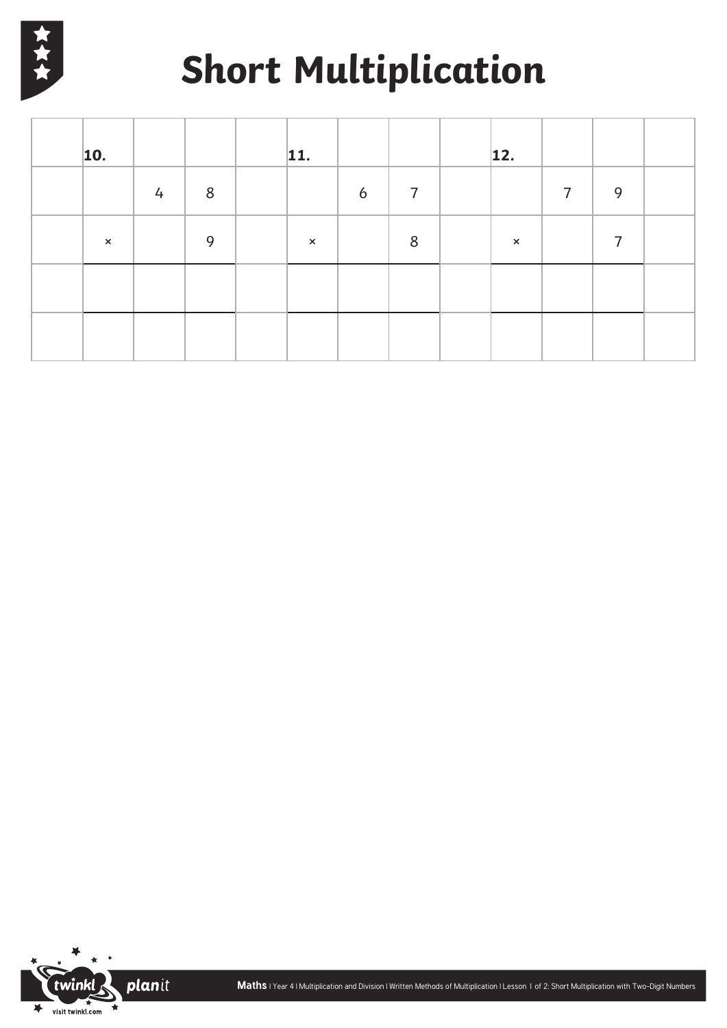

# **Short Multiplication**

| $\vert$ 10.           |   |       | 11.                   |   |                | 12.            |                |   |  |
|-----------------------|---|-------|-----------------------|---|----------------|----------------|----------------|---|--|
|                       | 4 | $8\,$ |                       | 6 | $\overline{7}$ |                | $\overline{7}$ | 9 |  |
| $\boldsymbol{\times}$ |   | 9     | $\boldsymbol{\times}$ |   | 8              | $\pmb{\times}$ |                | 7 |  |
|                       |   |       |                       |   |                |                |                |   |  |
|                       |   |       |                       |   |                |                |                |   |  |